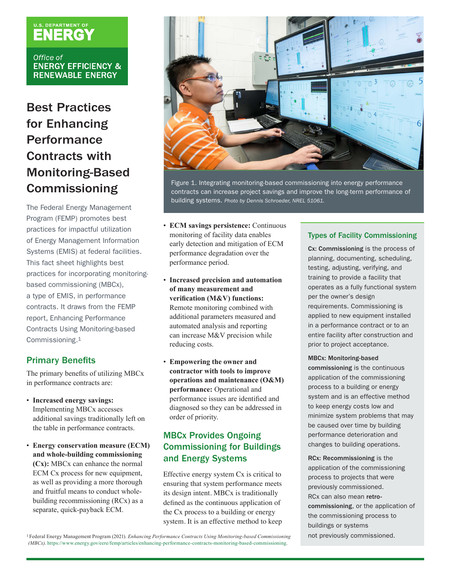# **U.S. DEPARTMENT OF**

Office of **ENERGY EFFICIENCY & RENEWABLE ENERGY** 

# Best Practices for Enhancing Performance Contracts with Monitoring-Based Commissioning

The Federal Energy Management Program (FEMP) promotes best practices for impactful utilization of Energy Management Information Systems (EMIS) at federal facilities. This fact sheet highlights best practices for incorporating monitoringbased commissioning (MBCx), a type of EMIS, in performance contracts. It draws from the FEMP report, Enhancing Performance Contracts Using Monitoring-based Commissioning.1

## Primary Benefits

The primary benefits of utilizing MBCx in performance contracts are:

- **Increased energy savings:**  Implementing MBCx accesses additional savings traditionally left on the table in performance contracts.
- **Energy conservation measure (ECM) and whole-building commissioning (Cx):** MBCx can enhance the normal ECM Cx process for new equipment, as well as providing a more thorough and fruitful means to conduct wholebuilding recommissioning (RCx) as a separate, quick-payback ECM.



Figure 1. Integrating monitoring-based commissioning into energy performance contracts can increase project savings and improve the long-term performance of building systems. *Photo by Dennis Schroeder, NREL 51061.*

- **ECM savings persistence:** Continuous monitoring of facility data enables early detection and mitigation of ECM performance degradation over the performance period.
- **Increased precision and automation of many measurement and verification (M&V) functions:** Remote monitoring combined with additional parameters measured and automated analysis and reporting can increase M&V precision while reducing costs.
- **Empowering the owner and contractor with tools to improve operations and maintenance (O&M) performance:** Operational and performance issues are identified and diagnosed so they can be addressed in order of priority.

# MBCx Provides Ongoing Commissioning for Buildings and Energy Systems

Effective energy system Cx is critical to ensuring that system performance meets its design intent. MBCx is traditionally defined as the continuous application of the Cx process to a building or energy system. It is an effective method to keep

#### Types of Facility Commissioning

Cx: Commissioning is the process of planning, documenting, scheduling, testing, adjusting, verifying, and training to provide a facility that operates as a fully functional system per the owner's design requirements. Commissioning is applied to new equipment installed in a performance contract or to an entire facility after construction and prior to project acceptance.

#### MBCx: Monitoring-based

commissioning is the continuous application of the commissioning process to a building or energy system and is an effective method to keep energy costs low and minimize system problems that may be caused over time by building performance deterioration and changes to building operations.

RCx: Recommissioning is the application of the commissioning process to projects that were previously commissioned. RCx can also mean retrocommissioning, or the application of the commissioning process to buildings or systems not previously commissioned.

1 Federal Energy Management Program (2021). *Enhancing Performance Contracts Using Monitoring-based Commissioning (MBCx)*. [https://www.energy.gov/eere/femp/articles/enhancing-performance-contracts-monitoring-based-commissioning.](https://www.energy.gov/eere/femp/articles/enhancing-performance-contracts-monitoring-based-commissioning)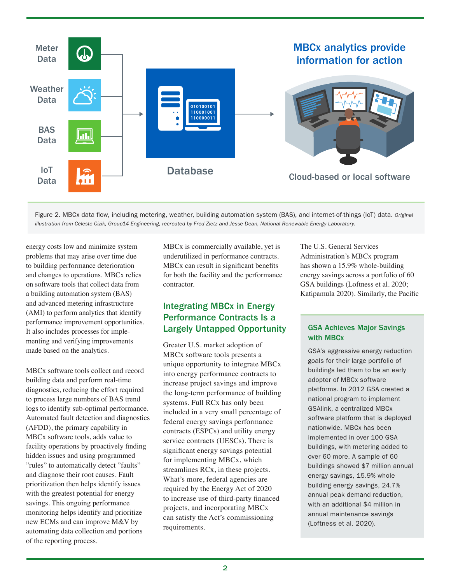

Figure 2. MBCx data flow, including metering, weather, building automation system (BAS), and internet-of-things (IoT) data. *Original illustration from Celeste Cizik, Group14 Engineering, recreated by Fred Zietz and Jesse Dean, National Renewable Energy Laboratory.*

energy costs low and minimize system problems that may arise over time due to building performance deterioration and changes to operations. MBCx relies on software tools that collect data from a building automation system (BAS) and advanced metering infrastructure (AMI) to perform analytics that identify performance improvement opportunities. It also includes processes for implementing and verifying improvements made based on the analytics.

MBCx software tools collect and record building data and perform real-time diagnostics, reducing the effort required to process large numbers of BAS trend logs to identify sub-optimal performance. Automated fault detection and diagnostics (AFDD), the primary capability in MBCx software tools, adds value to facility operations by proactively finding hidden issues and using programmed "rules" to automatically detect "faults" and diagnose their root causes. Fault prioritization then helps identify issues with the greatest potential for energy savings. This ongoing performance monitoring helps identify and prioritize new ECMs and can improve M&V by automating data collection and portions of the reporting process.

MBCx is commercially available, yet is underutilized in performance contracts. MBCx can result in significant benefits for both the facility and the performance contractor.

### Integrating MBCx in Energy Performance Contracts Is a Largely Untapped Opportunity

Greater U.S. market adoption of MBCx software tools presents a unique opportunity to integrate MBCx into energy performance contracts to increase project savings and improve the long-term performance of building systems. Full RCx has only been included in a very small percentage of federal energy savings performance contracts (ESPCs) and utility energy service contracts (UESCs). There is significant energy savings potential for implementing MBCx, which streamlines RCx, in these projects. What's more, federal agencies are required by the Energy Act of 2020 to increase use of third-party financed projects, and incorporating MBCx can satisfy the Act's commissioning requirements.

The U.S. General Services Administration's MBCx program has shown a 15.9% whole-building energy savings across a portfolio of 60 GSA buildings (Loftness et al. 2020; Katipamula 2020). Similarly, the Pacific

#### GSA Achieves Major Savings with MBCx

GSA's aggressive energy reduction goals for their large portfolio of buildings led them to be an early adopter of MBCx software platforms. In 2012 GSA created a national program to implement GSAlink, a centralized MBCx software platform that is deployed nationwide. MBCx has been implemented in over 100 GSA buildings, with metering added to over 60 more. A sample of 60 buildings showed \$7 million annual energy savings, 15.9% whole building energy savings, 24.7% annual peak demand reduction, with an additional \$4 million in annual maintenance savings (Loftness et al. 2020).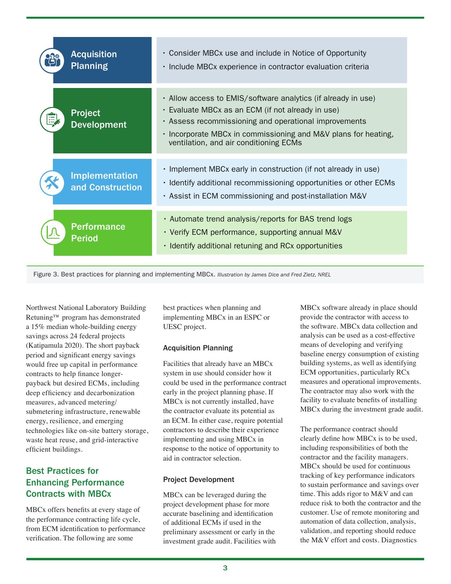| <b>Acquisition</b><br><b>Planning</b>     | • Consider MBCx use and include in Notice of Opportunity<br>· Include MBCx experience in contractor evaluation criteria                                                                                                                                                                 |
|-------------------------------------------|-----------------------------------------------------------------------------------------------------------------------------------------------------------------------------------------------------------------------------------------------------------------------------------------|
| <b>Project</b><br><b>Development</b>      | . Allow access to EMIS/software analytics (if already in use)<br>• Evaluate MBCx as an ECM (if not already in use)<br>• Assess recommissioning and operational improvements<br>• Incorporate MBCx in commissioning and M&V plans for heating,<br>ventilation, and air conditioning ECMs |
| <b>Implementation</b><br>and Construction | • Implement MBCx early in construction (if not already in use)<br>• Identify additional recommissioning opportunities or other ECMs<br>. Assist in ECM commissioning and post-installation M&V                                                                                          |
| <b>Performance</b><br><b>Period</b>       | . Automate trend analysis/reports for BAS trend logs<br>• Verify ECM performance, supporting annual M&V<br>• Identify additional retuning and RCx opportunities                                                                                                                         |



Northwest National Laboratory Building Retuning™ program has demonstrated a 15% median whole-building energy savings across 24 federal projects (Katipamula 2020). The short payback period and significant energy savings would free up capital in performance contracts to help finance longerpayback but desired ECMs, including deep efficiency and decarbonization measures, advanced metering/ submetering infrastructure, renewable energy, resilience, and emerging technologies like on-site battery storage, waste heat reuse, and grid-interactive efficient buildings.

# Best Practices for Enhancing Performance Contracts with MBCx

MBCx offers benefits at every stage of the performance contracting life cycle, from ECM identification to performance verification. The following are some

best practices when planning and implementing MBCx in an ESPC or UESC project.

#### Acquisition Planning

Facilities that already have an MBCx system in use should consider how it could be used in the performance contract early in the project planning phase. If MBCx is not currently installed, have the contractor evaluate its potential as an ECM. In either case, require potential contractors to describe their experience implementing and using MBCx in response to the notice of opportunity to aid in contractor selection.

#### Project Development

MBCx can be leveraged during the project development phase for more accurate baselining and identification of additional ECMs if used in the preliminary assessment or early in the investment grade audit. Facilities with

MBCx software already in place should provide the contractor with access to the software. MBCx data collection and analysis can be used as a cost-effective means of developing and verifying baseline energy consumption of existing building systems, as well as identifying ECM opportunities, particularly RCx measures and operational improvements. The contractor may also work with the facility to evaluate benefits of installing MBCx during the investment grade audit.

The performance contract should clearly define how MBCx is to be used, including responsibilities of both the contractor and the facility managers. MBCx should be used for continuous tracking of key performance indicators to sustain performance and savings over time. This adds rigor to M&V and can reduce risk to both the contractor and the customer. Use of remote monitoring and automation of data collection, analysis, validation, and reporting should reduce the M&V effort and costs. Diagnostics